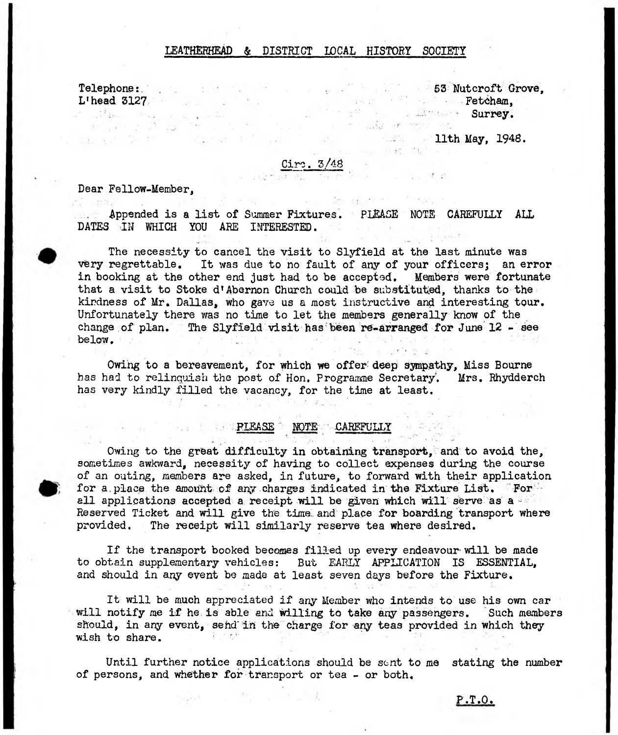## LBATHBRHEAD & DISTRICT LOCAL HISTORY SOCIETY

 $\frac{1}{2}$   $\frac{1}{2}$   $\frac{1}{2}$ 

Telephone: L'head 3127

法 如果 警告

53 Nutcroft Grove, Fetcham, Surrey. and what is seen and

**11th May, 1948.** 

 $-1.45 - 1.4$ 

and the second control state

## Ciro. 3/48

Dear Fellow-Member,

a affarma and a communication ਦਾ ਦਾ ਨਹੀਂ ਹ

Appended is a list of Summer Fixtures. PLEASE NOTE CAREFULLY ALL DATES IN WHICH YOU ARE INTERESTED.

The necessity to cancel the visit to Slyfield at the last minute was very regrettable. It was due to no fault of any of your officers; an error in booking at the other end just had to be accepted. Members were fortunate that a visit to Stoke d'Abernon Church could be substituted, thanks to the kindness of Mr. Dallas, who gave us a most instructive and interesting tour. Unfortunately there was no time to let the members generally know of the change of plan. The Slyfield visit has been re-arranged for June 12 - see below. V:V $\sim$  , which is a set of the set of  $\sim$  . We set out

Owing to a bereavement, for which we offer: deep sympathy, Miss Bourne has had to relinquish the post of Hon. Programme Secretary. Mrs. Rhydderch has very kindly filled the vacancy, for the time at least.

## **PLEASE NOTE . CAREFULLY**

Owing to the great difficulty in obtaining transport, and to avoid the, sometimes awkward, necessity of having to collect expenses during the course of an outing, members are asked, in future, to forward with their application for a place the amount of any charges indicated in the Fixture List. For all applications accepted a receipt will be given which will serve as a vi Reserved Ticket and will give the time and place for boarding transport where provided. The receipt will similarly *reserve* tea where desired.

If the transport booked becomes filled up every endeavour will be made to obtain supplementary vehicles: But EARLY APPLICATION IS ESSENTIAL, and should in any event be made at least seven days before the Fixture.

It will be much appreciated if any Member who intends to use his own car will notify me if he is able and willing to take any passengers. Such members should, in any event, sehd'in the charge for any teas provided in which they wish to share.  $\blacksquare$ 

Until further notice applications should be sent to me stating the number of persons, and whether for transport or tea - or both.